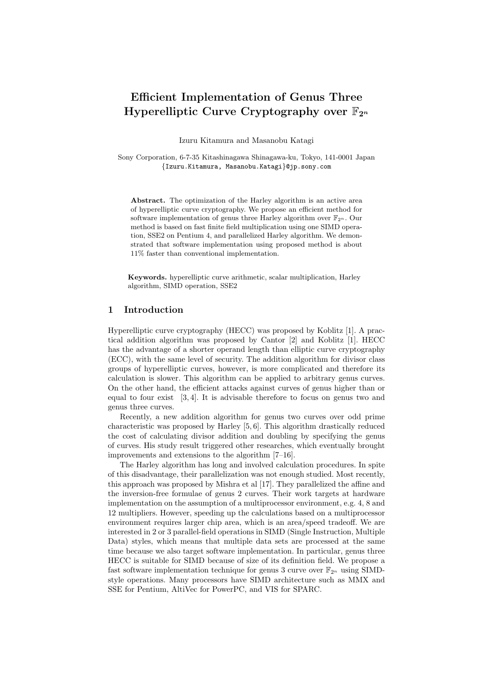# Efficient Implementation of Genus Three Hyperelliptic Curve Cryptography over  $\mathbb{F}_{2^n}$

Izuru Kitamura and Masanobu Katagi

Sony Corporation, 6-7-35 Kitashinagawa Shinagawa-ku, Tokyo, 141-0001 Japan {Izuru.Kitamura, Masanobu.Katagi}@jp.sony.com

Abstract. The optimization of the Harley algorithm is an active area of hyperelliptic curve cryptography. We propose an efficient method for software implementation of genus three Harley algorithm over  $\mathbb{F}_{2^n}$ . Our method is based on fast finite field multiplication using one SIMD operation, SSE2 on Pentium 4, and parallelized Harley algorithm. We demonstrated that software implementation using proposed method is about 11% faster than conventional implementation.

Keywords. hyperelliptic curve arithmetic, scalar multiplication, Harley algorithm, SIMD operation, SSE2

#### 1 Introduction

Hyperelliptic curve cryptography (HECC) was proposed by Koblitz [1]. A practical addition algorithm was proposed by Cantor [2] and Koblitz [1]. HECC has the advantage of a shorter operand length than elliptic curve cryptography (ECC), with the same level of security. The addition algorithm for divisor class groups of hyperelliptic curves, however, is more complicated and therefore its calculation is slower. This algorithm can be applied to arbitrary genus curves. On the other hand, the efficient attacks against curves of genus higher than or equal to four exist [3, 4]. It is advisable therefore to focus on genus two and genus three curves.

Recently, a new addition algorithm for genus two curves over odd prime characteristic was proposed by Harley [5, 6]. This algorithm drastically reduced the cost of calculating divisor addition and doubling by specifying the genus of curves. His study result triggered other researches, which eventually brought improvements and extensions to the algorithm [7–16].

The Harley algorithm has long and involved calculation procedures. In spite of this disadvantage, their parallelization was not enough studied. Most recently, this approach was proposed by Mishra et al [17]. They parallelized the affine and the inversion-free formulae of genus 2 curves. Their work targets at hardware implementation on the assumption of a multiprocessor environment, e.g. 4, 8 and 12 multipliers. However, speeding up the calculations based on a multiprocessor environment requires larger chip area, which is an area/speed tradeoff. We are interested in 2 or 3 parallel-field operations in SIMD (Single Instruction, Multiple Data) styles, which means that multiple data sets are processed at the same time because we also target software implementation. In particular, genus three HECC is suitable for SIMD because of size of its definition field. We propose a fast software implementation technique for genus 3 curve over  $\mathbb{F}_{2^n}$  using SIMDstyle operations. Many processors have SIMD architecture such as MMX and SSE for Pentium, AltiVec for PowerPC, and VIS for SPARC.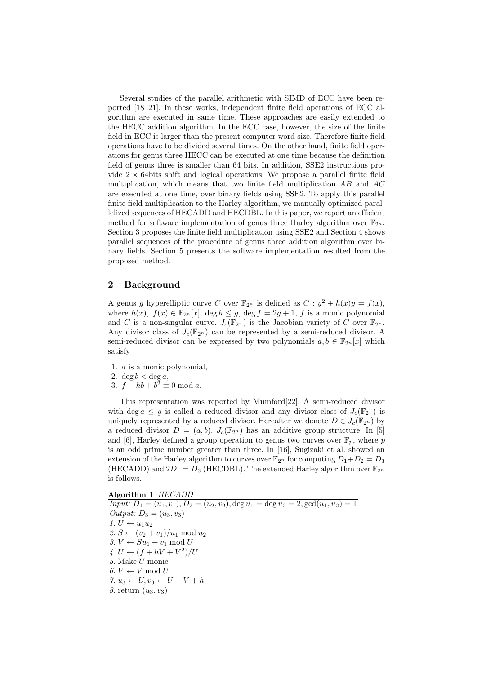Several studies of the parallel arithmetic with SIMD of ECC have been reported [18–21]. In these works, independent finite field operations of ECC algorithm are executed in same time. These approaches are easily extended to the HECC addition algorithm. In the ECC case, however, the size of the finite field in ECC is larger than the present computer word size. Therefore finite field operations have to be divided several times. On the other hand, finite field operations for genus three HECC can be executed at one time because the definition field of genus three is smaller than 64 bits. In addition, SSE2 instructions provide  $2 \times 64$ bits shift and logical operations. We propose a parallel finite field multiplication, which means that two finite field multiplication  $AB$  and  $AC$ are executed at one time, over binary fields using SSE2. To apply this parallel finite field multiplication to the Harley algorithm, we manually optimized parallelized sequences of HECADD and HECDBL. In this paper, we report an efficient method for software implementation of genus three Harley algorithm over  $\mathbb{F}_{2^n}$ . Section 3 proposes the finite field multiplication using SSE2 and Section 4 shows parallel sequences of the procedure of genus three addition algorithm over binary fields. Section 5 presents the software implementation resulted from the proposed method.

#### 2 Background

A genus g hyperelliptic curve C over  $\mathbb{F}_{2^n}$  is defined as  $C : y^2 + h(x)y = f(x)$ , where  $h(x)$ ,  $f(x) \in \mathbb{F}_{2^n}[x]$ ,  $\deg h \leq g$ ,  $\deg f = 2g + 1$ , f is a monic polynomial and C is a non-singular curve.  $J_c(\mathbb{F}_{2^n})$  is the Jacobian variety of C over  $\mathbb{F}_{2^n}$ . Any divisor class of  $J_c(\mathbb{F}_{2^n})$  can be represented by a semi-reduced divisor. A semi-reduced divisor can be expressed by two polynomials  $a, b \in \mathbb{F}_{2^n}[x]$  which satisfy

- 1. a is a monic polynomial,
- 2. deg  $b <$  deg  $a$ ,
- 3.  $f + hb + b^2 \equiv 0 \text{ mod } a$ .

This representation was reported by Mumford[22]. A semi-reduced divisor with deg  $a \leq g$  is called a reduced divisor and any divisor class of  $J_c(\mathbb{F}_{2^n})$  is uniquely represented by a reduced divisor. Hereafter we denote  $D \in J_c(\mathbb{F}_{2^n})$  by a reduced divisor  $D = (a, b)$ .  $J_c(\mathbb{F}_{2^n})$  has an additive group structure. In [5] and [6], Harley defined a group operation to genus two curves over  $\mathbb{F}_p$ , where p is an odd prime number greater than three. In [16], Sugizaki et al. showed an extension of the Harley algorithm to curves over  $\mathbb{F}_{2^n}$  for computing  $D_1+D_2=D_3$ (HECADD) and  $2D_1 = D_3$  (HECDBL). The extended Harley algorithm over  $\mathbb{F}_{2^n}$ is follows.

Algorithm 1 HECADD

 $I_{\text{input}}: D_1 = (u_1, v_1), D_2 = (u_2, v_2), \text{deg } u_1 = \text{deg } u_2 = 2, \text{gcd}(u_1, u_2) = 1$ Output:  $D_3 = (u_3, v_3)$ 1.  $\overline{U \leftarrow u_1 u_2}$ 2.  $S \leftarrow (v_2 + v_1)/u_1 \mod u_2$ 3.  $V \leftarrow Su_1 + v_1 \mod U$  $\mathcal{L} \leftarrow (f + hV + V^2)/U$ 5. Make U monic 6.  $V \leftarrow V \mod U$ 7.  $u_3 \leftarrow U, v_3 \leftarrow U + V + h$ 8. return  $(u_3, v_3)$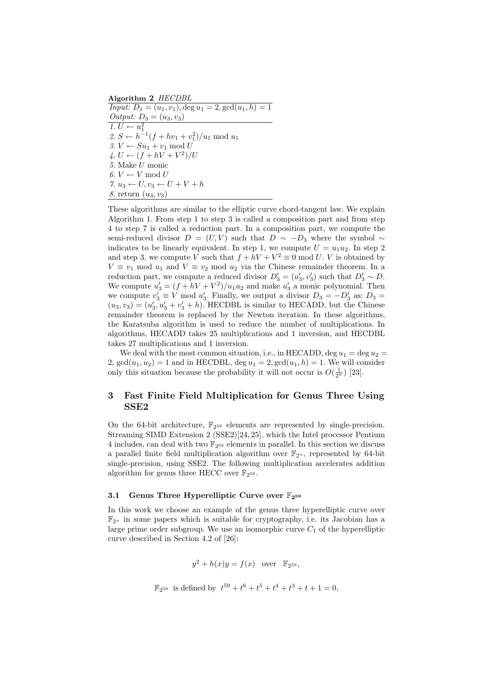Algorithm 2 HECDBL  $Input: D_1 = (u_1, v_1), \text{deg } u_1 = 2, \text{gcd}(u_1, h) = 1$ *Output:*  $D_3 = (u_3, v_3)$ 1.  $U \leftarrow u_1^2$  $2. S \leftarrow h^{-1}(f + hv_1 + v_1^2)/u_1 \text{ mod } u_1$ 3.  $V \leftarrow Su_1 + v_1 \mod U$  $\mathcal{L} \leftarrow (f + hV + V^2)/U$ 5. Make U monic 6.  $V \leftarrow V \mod U$ 7.  $u_3 \leftarrow U, v_3 \leftarrow U + V + h$ 8. return  $(u_3, v_3)$ 

These algorithms are similar to the elliptic curve chord-tangent law. We explain Algorithm 1. From step 1 to step 3 is called a composition part and from step 4 to step 7 is called a reduction part. In a composition part, we compute the semi-reduced divisor  $D = (U, V)$  such that  $D \sim -D_3$  where the symbol ~ indicates to be linearly equivalent. In step 1, we compute  $U = u_1 u_2$ . In step 2 and step 3, we compute V such that  $f + hV + V^2 \equiv 0 \mod U$ . V is obtained by  $V \equiv v_1 \mod u_1$  and  $V \equiv v_2 \mod u_2$  via the Chinese remainder theorem. In a reduction part, we compute a reduced divisor  $D'_3 = (u'_3, v'_3)$  such that  $D'_3 \sim D$ . We compute  $u'_3 = (f + hV + V^2)/u_1u_2$  and make  $u'_3$  a monic polynomial. Then we compute  $v_3' \equiv V \mod u_3'$ . Finally, we output a divisor  $D_3 = -D_3'$  as:  $D_3 =$  $(u_3, v_3) = (u'_3, u'_3 + v'_3 + h)$ . HECDBL is similar to HECADD, but the Chinese remainder theorem is replaced by the Newton iteration. In these algorithms, the Karatsuba algorithm is used to reduce the number of multiplications. In algorithms, HECADD takes 25 multiplications and 1 inversion, and HECDBL takes 27 multiplications and 1 inversion.

We deal with the most common situation, i.e., in HECADD, deg  $u_1 = \deg u_2 =$ 2,  $gcd(u_1, u_2) = 1$  and in HECDBL,  $deg u_1 = 2$ ,  $gcd(u_1, h) = 1$ . We will consider only this situation because the probability it will not occur is  $O(\frac{1}{2^n})$  [23].

## 3 Fast Finite Field Multiplication for Genus Three Using SSE2

On the 64-bit architecture,  $\mathbb{F}_{2^{59}}$  elements are represented by single-precision. Streaming SIMD Extension 2 (SSE2)[24, 25], which the Intel processor Pentium 4 includes, can deal with two  $\mathbb{F}_{2^{59}}$  elements in parallel. In this section we discuss a parallel finite field multiplication algorithm over  $\mathbb{F}_{2^n}$ , represented by 64-bit single-precision, using SSE2. The following multiplication accelerates addition algorithm for genus three HECC over  $\mathbb{F}_{2^{59}}$ .

#### 3.1 Genus Three Hyperelliptic Curve over  $\mathbb{F}_{2^{59}}$

In this work we choose an example of the genus three hyperelliptic curve over  $\mathbb{F}_{2^n}$  in some papers which is suitable for cryptography, i.e. its Jacobian has a large prime order subgroup. We use an isomorphic curve  $C_1$  of the hyperelliptic curve described in Section 4.2 of [26]:

$$
y^2 + h(x)y = f(x) \quad \text{over} \quad \mathbb{F}_{2^{59}},
$$

$$
\mathbb{F}_{2^{59}}
$$
 is defined by  $t^{59} + t^6 + t^5 + t^4 + t^3 + t + 1 = 0$ ,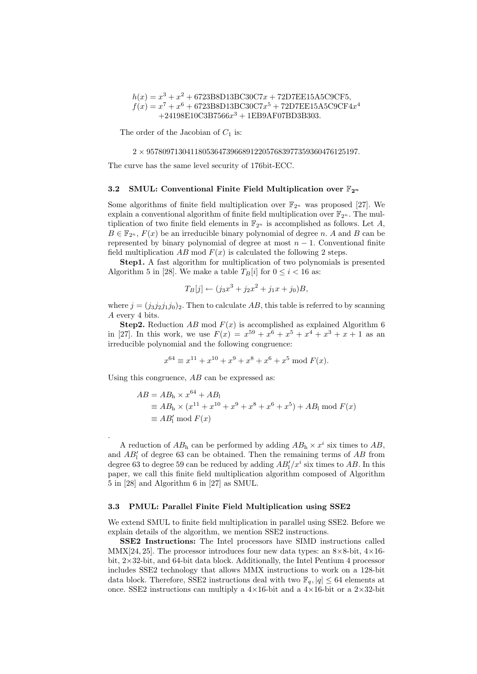$h(x) = x^3 + x^2 + 6723B8D13BC30C7x + 72D7EE15A5C9CF5,$  $f(x) = x^7 + x^6 + 6723B8D13BC30C7x^5 + 72D7EE15A5C9CF4x^4$  $+24198E10C3B7566x<sup>3</sup> + 1EB9A F07BD3B303.$ 

The order of the Jacobian of  $C_1$  is:

 $2\times 95780971304118053647396689122057683977359360476125197.$ 

The curve has the same level security of 176bit-ECC.

#### 3.2 SMUL: Conventional Finite Field Multiplication over  $\mathbb{F}_{2^n}$

Some algorithms of finite field multiplication over  $\mathbb{F}_{2^n}$  was proposed [27]. We explain a conventional algorithm of finite field multiplication over  $\mathbb{F}_{2^n}$ . The multiplication of two finite field elements in  $\mathbb{F}_{2^n}$  is accomplished as follows. Let A,  $B \in \mathbb{F}_{2^n}$ ,  $F(x)$  be an irreducible binary polynomial of degree n. A and B can be represented by binary polynomial of degree at most  $n - 1$ . Conventional finite field multiplication AB mod  $F(x)$  is calculated the following 2 steps.

Step1. A fast algorithm for multiplication of two polynomials is presented Algorithm 5 in [28]. We make a table  $T_B[i]$  for  $0 \le i < 16$  as:

$$
T_B[j] \leftarrow (j_3x^3 + j_2x^2 + j_1x + j_0)B,
$$

where  $j = (j_3 j_2 j_1 j_0)_2$ . Then to calculate AB, this table is referred to by scanning A every 4 bits.

**Step2.** Reduction AB mod  $F(x)$  is accomplished as explained Algorithm 6 in [27]. In this work, we use  $F(x) = x^{59} + x^6 + x^5 + x^4 + x^3 + x + 1$  as an irreducible polynomial and the following congruence:

$$
x^{64} \equiv x^{11} + x^{10} + x^9 + x^8 + x^6 + x^5 \mod F(x).
$$

Using this congruence,  $AB$  can be expressed as:

.

$$
AB = ABh \times x64 + AB1
$$
  
\n
$$
\equiv ABh \times (x11 + x10 + x9 + x8 + x6 + x5) + AB1 \text{ mod } F(x)
$$
  
\n
$$
\equiv AB'1 \text{ mod } F(x)
$$

A reduction of  $AB<sub>h</sub>$  can be performed by adding  $AB<sub>h</sub> \times x<sup>i</sup>$  six times to  $AB$ , and  $AB'_1$  of degree 63 can be obtained. Then the remaining terms of  $AB$  from degree 63 to degree 59 can be reduced by adding  $AB'_1/x^i$  six times to AB. In this paper, we call this finite field multiplication algorithm composed of Algorithm 5 in [28] and Algorithm 6 in [27] as SMUL.

#### 3.3 PMUL: Parallel Finite Field Multiplication using SSE2

We extend SMUL to finite field multiplication in parallel using SSE2. Before we explain details of the algorithm, we mention SSE2 instructions.

SSE2 Instructions: The Intel processors have SIMD instructions called MMX[24, 25]. The processor introduces four new data types: an  $8\times8$ -bit,  $4\times16$ bit, 2×32-bit, and 64-bit data block. Additionally, the Intel Pentium 4 processor includes SSE2 technology that allows MMX instructions to work on a 128-bit data block. Therefore, SSE2 instructions deal with two  $\mathbb{F}_q$ ,  $|q| \leq 64$  elements at once. SSE2 instructions can multiply a  $4\times16$ -bit and a  $4\times16$ -bit or a  $2\times32$ -bit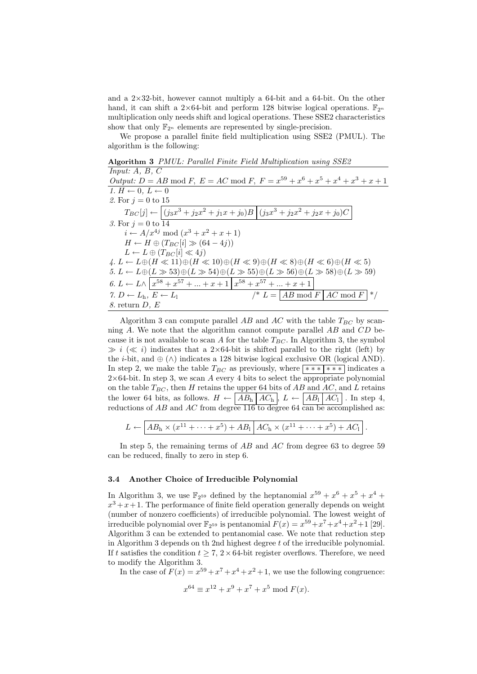and a  $2\times32$ -bit, however cannot multiply a 64-bit and a 64-bit. On the other hand, it can shift a  $2\times 64$ -bit and perform 128 bitwise logical operations.  $\mathbb{F}_{2^n}$ multiplication only needs shift and logical operations. These SSE2 characteristics show that only  $\mathbb{F}_{2^n}$  elements are represented by single-precision.

We propose a parallel finite field multiplication using SSE2 (PMUL). The algorithm is the following:

 $Input: A, B, C$ Output:  $D = AB \mod F$ ,  $E = AC \mod F$ ,  $F = x^{59} + x^6 + x^5 + x^4 + x^3 + x + 1$ 1.  $H \leftarrow 0$ ,  $L \leftarrow 0$ 2. For  $j = 0$  to 15  $T_{BC}[j] \leftarrow \left[ (j_3x^3 + j_2x^2 + j_1x + j_0)B \right] (j_3x^3 + j_2x^2 + j_2x + j_0)C$ 3. For  $j = 0$  to 14  $i \leftarrow A/x^{4j} \mod (x^3 + x^2 + x + 1)$  $H \leftarrow H \oplus (T_{BC}[i] \gg (64 - 4j))$  $L \leftarrow L \oplus (T_{BC}[i] \ll 4j)$  $4. L \leftarrow L \oplus (H \ll 11) \oplus (H \ll 10) \oplus (H \ll 9) \oplus (H \ll 8) \oplus (H \ll 6) \oplus (H \ll 5)$  $5. L \leftarrow L \oplus (L \gg 53) \oplus (L \gg 54) \oplus (L \gg 55) \oplus (L \gg 56) \oplus (L \gg 58) \oplus (L \gg 59)$ 6.  $L \leftarrow L \wedge \left[ x^{58} + x^{57} + \ldots + x + 1 \right] x^{58} + x^{57} + \ldots + x + 1$ 7.  $D \leftarrow L_h, E \leftarrow L_l$  /\*  $L = \boxed{AB \mod F} \begin{matrix} AC \mod F \end{matrix}$  \*/  $8.$  return  $D, E$ 

Algorithm 3 PMUL: Parallel Finite Field Multiplication using SSE2

Algorithm 3 can compute parallel AB and AC with the table  $T_{BC}$  by scanning  $A$ . We note that the algorithm cannot compute parallel  $AB$  and  $CD$  because it is not available to scan A for the table  $T_{BC}$ . In Algorithm 3, the symbol  $\gg i \ll i$ ) indicates that a 2×64-bit is shifted parallel to the right (left) by the *i*-bit, and  $\oplus$  ( $\wedge$ ) indicates a 128 bitwise logical exclusive OR (logical AND). In step 2, we make the table  $T_{BC}$  as previously, where \*\*\*\*\*\*\*\*\* indicates a  $2\times 64$ -bit. In step 3, we scan A every 4 bits to select the appropriate polynomial on the table  $T_{BC}$ , then H retains the upper 64 bits of AB and AC, and L retains the lower 64 bits, as follows.  $H \leftarrow \boxed{AB_h \, AC_h}$ ,  $L \leftarrow \boxed{AB_l \, AC_l}$ . In step 4, reductions of  $AB$  and  $AC$  from degree 116 to degree 64 can be accomplished as:

$$
L \leftarrow \boxed{AB_h \times (x^{11} + \cdots + x^5) + AB_1} \begin{bmatrix} AC_h \times (x^{11} + \cdots + x^5) + AC_1 \end{bmatrix}.
$$

In step 5, the remaining terms of  $AB$  and  $AC$  from degree 63 to degree 59 can be reduced, finally to zero in step 6.

## 3.4 Another Choice of Irreducible Polynomial

In Algorithm 3, we use  $\mathbb{F}_{2^{59}}$  defined by the heptanomial  $x^{59} + x^6 + x^5 + x^4 +$  $x^3 + x + 1$ . The performance of finite field operation generally depends on weight (number of nonzero coefficients) of irreducible polynomial. The lowest weight of irreducible polynomial over  $\mathbb{F}_{2^{59}}$  is pentanomial  $F(x) = x^{59} + x^7 + x^4 + x^2 + 1$  [29]. Algorithm 3 can be extended to pentanomial case. We note that reduction step in Algorithm 3 depends on the 2nd highest degree  $t$  of the irreducible polynomial. If t satisfies the condition  $t > 7$ ,  $2 \times 64$ -bit register overflows. Therefore, we need to modify the Algorithm 3.

In the case of  $F(x) = x^{59} + x^7 + x^4 + x^2 + 1$ , we use the following congruence:

$$
x^{64} \equiv x^{12} + x^9 + x^7 + x^5 \bmod F(x).
$$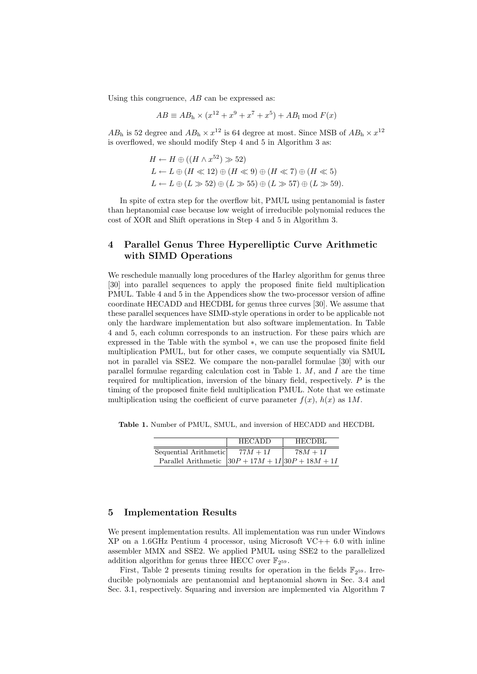Using this congruence,  $AB$  can be expressed as:

$$
AB \equiv AB_{h} \times (x^{12} + x^{9} + x^{7} + x^{5}) + AB_{1} \bmod F(x)
$$

 $AB<sub>h</sub>$  is 52 degree and  $AB<sub>h</sub> \times x<sup>12</sup>$  is 64 degree at most. Since MSB of  $AB<sub>h</sub> \times x<sup>12</sup>$ is overflowed, we should modify Step 4 and 5 in Algorithm 3 as:

$$
H \leftarrow H \oplus ((H \wedge x^{52}) \gg 52)
$$
  
\n
$$
L \leftarrow L \oplus (H \ll 12) \oplus (H \ll 9) \oplus (H \ll 7) \oplus (H \ll 5)
$$
  
\n
$$
L \leftarrow L \oplus (L \gg 52) \oplus (L \gg 55) \oplus (L \gg 57) \oplus (L \gg 59).
$$

In spite of extra step for the overflow bit, PMUL using pentanomial is faster than heptanomial case because low weight of irreducible polynomial reduces the cost of XOR and Shift operations in Step 4 and 5 in Algorithm 3.

## 4 Parallel Genus Three Hyperelliptic Curve Arithmetic with SIMD Operations

We reschedule manually long procedures of the Harley algorithm for genus three [30] into parallel sequences to apply the proposed finite field multiplication PMUL. Table 4 and 5 in the Appendices show the two-processor version of affine coordinate HECADD and HECDBL for genus three curves [30]. We assume that these parallel sequences have SIMD-style operations in order to be applicable not only the hardware implementation but also software implementation. In Table 4 and 5, each column corresponds to an instruction. For these pairs which are expressed in the Table with the symbol ∗, we can use the proposed finite field multiplication PMUL, but for other cases, we compute sequentially via SMUL not in parallel via SSE2. We compare the non-parallel formulae [30] with our parallel formulae regarding calculation cost in Table 1.  $M$ , and  $I$  are the time required for multiplication, inversion of the binary field, respectively.  $P$  is the timing of the proposed finite field multiplication PMUL. Note that we estimate multiplication using the coefficient of curve parameter  $f(x)$ ,  $h(x)$  as 1M.

Table 1. Number of PMUL, SMUL, and inversion of HECADD and HECDBL

|                                                       | <b>HECADD</b> | HECDBL     |
|-------------------------------------------------------|---------------|------------|
| Sequential Arithmetic                                 | $77M+1I$      | $78M + 1I$ |
| Parallel Arithmetic $30P + 17M + 1I$ $30P + 18M + 1I$ |               |            |

#### 5 Implementation Results

We present implementation results. All implementation was run under Windows  $XP$  on a 1.6GHz Pentium 4 processor, using Microsoft  $VC++$  6.0 with inline assembler MMX and SSE2. We applied PMUL using SSE2 to the parallelized addition algorithm for genus three HECC over  $\mathbb{F}_{2^{59}}$ .

First, Table 2 presents timing results for operation in the fields  $\mathbb{F}_{2^{59}}$ . Irreducible polynomials are pentanomial and heptanomial shown in Sec. 3.4 and Sec. 3.1, respectively. Squaring and inversion are implemented via Algorithm 7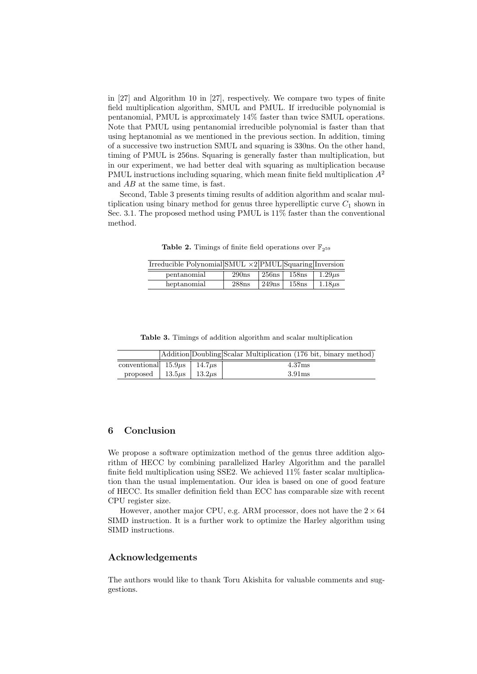in [27] and Algorithm 10 in [27], respectively. We compare two types of finite field multiplication algorithm, SMUL and PMUL. If irreducible polynomial is pentanomial, PMUL is approximately 14% faster than twice SMUL operations. Note that PMUL using pentanomial irreducible polynomial is faster than that using heptanomial as we mentioned in the previous section. In addition, timing of a successive two instruction SMUL and squaring is 330ns. On the other hand, timing of PMUL is 256ns. Squaring is generally faster than multiplication, but in our experiment, we had better deal with squaring as multiplication because PMUL instructions including squaring, which mean finite field multiplication  $A^2$ and AB at the same time, is fast.

Second, Table 3 presents timing results of addition algorithm and scalar multiplication using binary method for genus three hyperelliptic curve  $C_1$  shown in Sec. 3.1. The proposed method using PMUL is 11% faster than the conventional method.

**Table 2.** Timings of finite field operations over  $\mathbb{F}_{2^{59}}$ 

| Irreducible Polynomial SMUL $\times$ 2 PMUL Squaring Inversion |                   |       |       |             |
|----------------------------------------------------------------|-------------------|-------|-------|-------------|
| pentanomial                                                    | 290ns             | 256ns | 158ns | $1.29\mu s$ |
| heptanomial                                                    | 288 <sub>ns</sub> | 249ns | 158ns | $1.18\mu s$ |

Table 3. Timings of addition algorithm and scalar multiplication

|                                       |  | Addition Doubling Scalar Multiplication (176 bit, binary method) |
|---------------------------------------|--|------------------------------------------------------------------|
| conventional $15.9\mu s$ 14.7 $\mu s$ |  | 4.37ms                                                           |
| proposed   $13.5\mu s$   $13.2\mu s$  |  | 3.91 <sub>ms</sub>                                               |

## 6 Conclusion

We propose a software optimization method of the genus three addition algorithm of HECC by combining parallelized Harley Algorithm and the parallel finite field multiplication using SSE2. We achieved 11% faster scalar multiplication than the usual implementation. Our idea is based on one of good feature of HECC. Its smaller definition field than ECC has comparable size with recent CPU register size.

However, another major CPU, e.g. ARM processor, does not have the  $2\times64$ SIMD instruction. It is a further work to optimize the Harley algorithm using SIMD instructions.

## Acknowledgements

The authors would like to thank Toru Akishita for valuable comments and suggestions.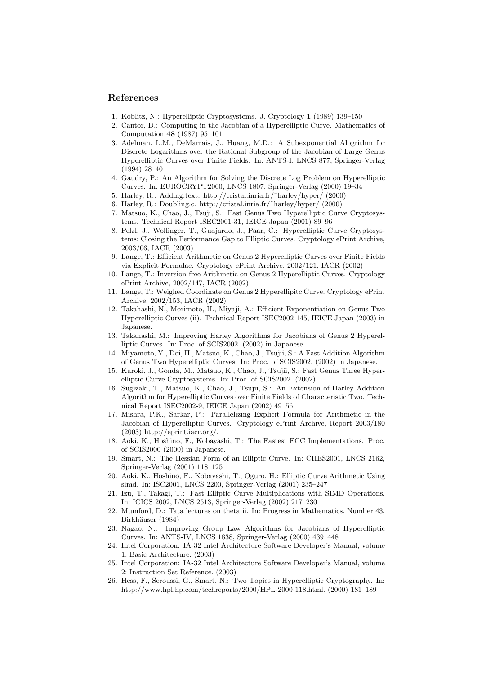### References

- 1. Koblitz, N.: Hyperelliptic Cryptosystems. J. Cryptology 1 (1989) 139–150
- 2. Cantor, D.: Computing in the Jacobian of a Hyperelliptic Curve. Mathematics of Computation 48 (1987) 95–101
- 3. Adelman, L.M., DeMarrais, J., Huang, M.D.: A Subexponential Alogrithm for Discrete Logarithms over the Rational Subgroup of the Jacobian of Large Genus Hyperelliptic Curves over Finite Fields. In: ANTS-I, LNCS 877, Springer-Verlag (1994) 28–40
- 4. Gaudry, P.: An Algorithm for Solving the Discrete Log Problem on Hyperelliptic Curves. In: EUROCRYPT2000, LNCS 1807, Springer-Verlag (2000) 19–34
- 5. Harley, R.: Adding.text. http://cristal.inria.fr/˜harley/hyper/ (2000)
- 6. Harley, R.: Doubling.c. http://cristal.inria.fr/˜harley/hyper/ (2000)
- 7. Matsuo, K., Chao, J., Tsuji, S.: Fast Genus Two Hyperelliptic Curve Cryptosystems. Technical Report ISEC2001-31, IEICE Japan (2001) 89–96
- 8. Pelzl, J., Wollinger, T., Guajardo, J., Paar, C.: Hyperelliptic Curve Cryptosystems: Closing the Performance Gap to Elliptic Curves. Cryptology ePrint Archive, 2003/06, IACR (2003)
- 9. Lange, T.: Efficient Arithmetic on Genus 2 Hyperelliptic Curves over Finite Fields via Explicit Formulae. Cryptology ePrint Archive, 2002/121, IACR (2002)
- 10. Lange, T.: Inversion-free Arithmetic on Genus 2 Hyperelliptic Curves. Cryptology ePrint Archive, 2002/147, IACR (2002)
- 11. Lange, T.: Weighed Coordinate on Genus 2 Hyperellipitc Curve. Cryptology ePrint Archive, 2002/153, IACR (2002)
- 12. Takahashi, N., Morimoto, H., Miyaji, A.: Efficient Exponentiation on Genus Two Hyperelliptic Curves (ii). Technical Report ISEC2002-145, IEICE Japan (2003) in Japanese.
- 13. Takahashi, M.: Improving Harley Algorithms for Jacobians of Genus 2 Hyperelliptic Curves. In: Proc. of SCIS2002. (2002) in Japanese.
- 14. Miyamoto, Y., Doi, H., Matsuo, K., Chao, J., Tsujii, S.: A Fast Addition Algorithm of Genus Two Hyperelliptic Curves. In: Proc. of SCIS2002. (2002) in Japanese.
- 15. Kuroki, J., Gonda, M., Matsuo, K., Chao, J., Tsujii, S.: Fast Genus Three Hyperelliptic Curve Cryptosystems. In: Proc. of SCIS2002. (2002)
- 16. Sugizaki, T., Matsuo, K., Chao, J., Tsujii, S.: An Extension of Harley Addition Algorithm for Hyperelliptic Curves over Finite Fields of Characteristic Two. Technical Report ISEC2002-9, IEICE Japan (2002) 49–56
- 17. Mishra, P.K., Sarkar, P.: Parallelizing Explicit Formula for Arithmetic in the Jacobian of Hyperelliptic Curves. Cryptology ePrint Archive, Report 2003/180 (2003) http://eprint.iacr.org/.
- 18. Aoki, K., Hoshino, F., Kobayashi, T.: The Fastest ECC Implementations. Proc. of SCIS2000 (2000) in Japanese.
- 19. Smart, N.: The Hessian Form of an Elliptic Curve. In: CHES2001, LNCS 2162, Springer-Verlag (2001) 118–125
- 20. Aoki, K., Hoshino, F., Kobayashi, T., Oguro, H.: Elliptic Curve Arithmetic Using simd. In: ISC2001, LNCS 2200, Springer-Verlag (2001) 235–247
- 21. Izu, T., Takagi, T.: Fast Elliptic Curve Multiplications with SIMD Operations. In: ICICS 2002, LNCS 2513, Springer-Verlag (2002) 217–230
- 22. Mumford, D.: Tata lectures on theta ii. In: Progress in Mathematics. Number 43, Birkhäuser (1984)
- 23. Nagao, N.: Improving Group Law Algorithms for Jacobians of Hyperelliptic Curves. In: ANTS-IV, LNCS 1838, Springer-Verlag (2000) 439–448
- 24. Intel Corporation: IA-32 Intel Architecture Software Developer's Manual, volume 1: Basic Architecture. (2003)
- 25. Intel Corporation: IA-32 Intel Architecture Software Developer's Manual, volume 2: Instruction Set Reference. (2003)
- 26. Hess, F., Seroussi, G., Smart, N.: Two Topics in Hyperelliptic Cryptography. In: http://www.hpl.hp.com/techreports/2000/HPL-2000-118.html. (2000) 181–189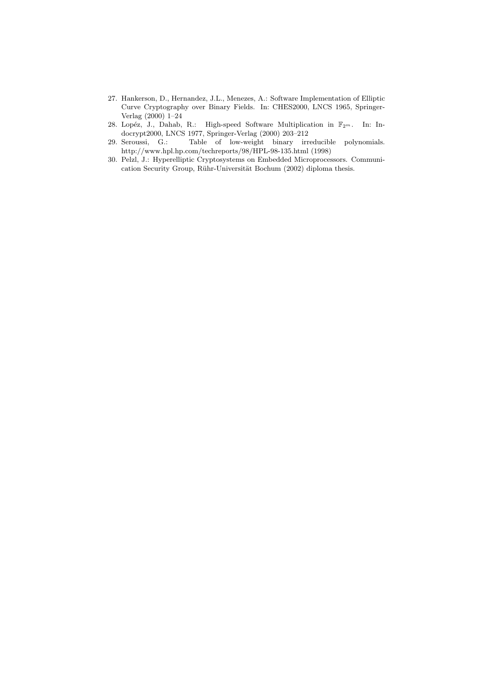- 27. Hankerson, D., Hernandez, J.L., Menezes, A.: Software Implementation of Elliptic Curve Cryptography over Binary Fields. In: CHES2000, LNCS 1965, Springer-Verlag (2000) 1–24
- 28. Lopéz, J., Dahab, R.: High-speed Software Multiplication in  $\mathbb{F}_{2^m}$ . In: Indocrypt2000, LNCS 1977, Springer-Verlag (2000) 203–212
- 29. Seroussi, G.: Table of low-weight binary irreducible polynomials. http://www.hpl.hp.com/techreports/98/HPL-98-135.html (1998)
- 30. Pelzl, J.: Hyperelliptic Cryptosystems on Embedded Microprocessors. Communication Security Group, Rühr-Universität Bochum (2002) diploma thesis.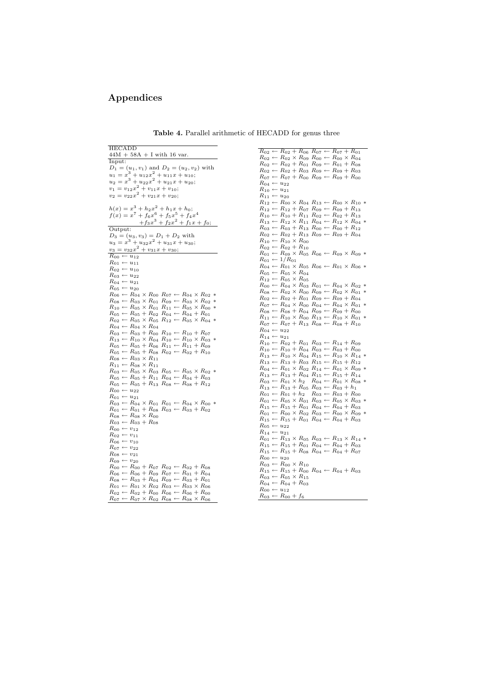## Appendices

| <b>HECADD</b>                                                                     | $R_{02} \leftarrow R_{02}$ . |
|-----------------------------------------------------------------------------------|------------------------------|
| $44M + 58A + I$ with 16 var.                                                      | $R_{02} \leftarrow R_{02}$ : |
| Input:                                                                            | $R_{02} \leftarrow R_{02}$ - |
| $D_1 = (u_1, v_1)$ and $D_2 = (u_2, v_2)$ with                                    | $R_{02} \leftarrow R_{02}$ . |
| $u_1 = x^3 + u_{12}x^2 + u_{11}x + u_{10};$                                       | $R_{07} \leftarrow R_{07}$ - |
| $u_2 = x^3 + u_{22}x^2 + u_{21}x + u_{20};$                                       |                              |
| $v_1 = v_{12}x^2 + v_{11}x + v_{10};$                                             | $R_{04} \leftarrow u_{22}$   |
| $v_2 = v_{22}x^2 + v_{21}x + v_{20};$                                             | $R_{10} \leftarrow u_{21}$   |
|                                                                                   | $R_{11} \leftarrow u_{20}$   |
|                                                                                   | $R_{12} \leftarrow R_{00}$ : |
| $h(x) = x3 + h2x2 + h1x + h0;$                                                    | $R_{12} \leftarrow R_{12}$   |
| $f(x) = x^7 + f_6x^6 + f_5x^5 + f_4x^4$                                           | $R_{10} \leftarrow R_{10}$   |
| $+f_3x^3+f_2x^2+f_1x+f_0;$                                                        | $R_{13} \leftarrow R_{12}$   |
| Output:                                                                           | $R_{03} \leftarrow R_{03}$ . |
| $D_3 = (u_3, v_3) = D_1 + D_2$ with                                               | $R_{02} \leftarrow R_{02}$ - |
| $u_3 = x^3 + u_{32}x^2 + u_{31}x + u_{30};$                                       | $R_{10} \leftarrow R_{10}$   |
| $v_3 = v_{32}x^2 + v_{31}x + v_{30};$                                             | $R_{02} \leftarrow R_{02}$ . |
| $R_{00} \leftarrow u_{12}$                                                        | $R_{01} \leftarrow R_{09}$ : |
| $R_{01} \leftarrow u_{11}$                                                        | $R_{01} \leftarrow 1/R_0$    |
| $R_{02} \leftarrow u_{10}$                                                        | $R_{04} \leftarrow R_{01}$   |
| $R_{03} \leftarrow u_{22}$                                                        | $R_{05} \leftarrow R_{05}$ : |
| $R_{04} \leftarrow u_{21}$                                                        | $R_{12} \leftarrow R_{05}$   |
| $R_{05} \leftarrow u_{20}$                                                        | $R_{00} \leftarrow R_{04}$ : |
| $R_{06} \leftarrow R_{04} \times R_{00} R_{07} \leftarrow R_{04} \times R_{02} *$ | $R_{08} \leftarrow R_{02}$ : |
| $R_{08} \leftarrow R_{03} \times R_{01} R_{09} \leftarrow R_{03} \times R_{02} *$ | $R_{02} \leftarrow R_{02}$ . |
|                                                                                   | $R_{07} \leftarrow R_{04}$ : |
| $R_{10} \leftarrow R_{05} \times R_{01} R_{11} \leftarrow R_{05} \times R_{00}$   | $R_{08} \leftarrow R_{08}$ . |
| $R_{05} \leftarrow R_{05} + R_{02} R_{04} \leftarrow R_{04} + R_{01}$             | $R_{11} \leftarrow R_{10}$   |
| $R_{02} \leftarrow R_{05} \times R_{05} R_{12} \leftarrow R_{05} \times R_{04} *$ | $R_{07} \leftarrow R_{07}$ - |
| $R_{04} \leftarrow R_{04} \times R_{04}$                                          | $R_{04} \leftarrow u_{22}$   |
| $R_{03} \leftarrow R_{03} + R_{00} R_{10} \leftarrow R_{10} + R_{07}$             | $R_{14} \leftarrow u_{21}$   |
| $R_{13} \leftarrow R_{10} \times R_{04} R_{10} \leftarrow R_{10} \times R_{03} *$ | $R_{10} \leftarrow R_{02}$ . |
| $R_{05} \leftarrow R_{05} + R_{06} R_{11} \leftarrow R_{11} + R_{09}$             | $R_{10} \leftarrow R_{10}$ - |
| $R_{05} \leftarrow R_{05} + R_{08} R_{02} \leftarrow R_{02} + R_{10}$             | $R_{13} \leftarrow R_{10}$   |
| $R_{08} \leftarrow R_{03} \times R_{11}$                                          | $R_{13} \leftarrow R_{13}$ . |
| $R_{11} \leftarrow R_{08} \times R_{11}$                                          | $R_{04} \leftarrow R_{01}$   |
| $R_{03} \leftarrow R_{05} \times R_{03} R_{05} \leftarrow R_{05} \times R_{02} *$ | $R_{13} \leftarrow R_{13}$ . |
| $R_{05} \leftarrow R_{05} + R_{11} R_{04} \leftarrow R_{04} + R_{03}$             | $R_{03} \leftarrow R_{01}$ : |
| $R_{05} \leftarrow R_{05} + R_{13} R_{08} \leftarrow R_{08} + R_{12}$             | $R_{13} \leftarrow R_{13}$ . |
| $R_{00} \leftarrow u_{22}$                                                        | $R_{01} \leftarrow R_{01}$ . |
| $R_{01} \leftarrow u_{21}$                                                        | $R_{01} \leftarrow R_{05}$   |
| $R_{03} \leftarrow R_{04} \times R_{01} R_{01} \leftarrow R_{04} \times R_{00}$   | $R_{15} \leftarrow R_{15}$ - |
| $R_{01} \leftarrow R_{01} + R_{08} R_{03} \leftarrow R_{03} + R_{02}$             | $R_{01} \leftarrow R_{00}$   |
| $R_{08} \leftarrow R_{08} \times R_{00}$                                          | $R_{15} \leftarrow R_{15}$ . |
| $R_{03} \leftarrow R_{03} + R_{08}$                                               |                              |
| $R_{00} \leftarrow v_{12}$                                                        | $R_{05} \leftarrow u_{22}$   |
| $R_{02} \leftarrow v_{11}$                                                        | $R_{14} \leftarrow u_{21}$   |
| $R_{06} \leftarrow v_{10}$                                                        | $R_{01} \leftarrow R_{13}$   |
| $R_{07} \leftarrow v_{22}$                                                        | $R_{15} \leftarrow R_{15}$ . |
| $R_{08} \leftarrow v_{21}$                                                        | $R_{15} \leftarrow R_{15}$ . |
| $R_{09} \leftarrow v_{20}$                                                        | $R_{00} \leftarrow u_{20}$   |
| $R_{00} \leftarrow R_{00} + R_{07} R_{02} \leftarrow R_{02} + R_{08}$             | $R_{03} \leftarrow R_{00}$   |
| $R_{06} \leftarrow R_{06} + R_{09} R_{07} \leftarrow R_{01} + R_{04}$             | $R_{15} \leftarrow R_{15}$ - |
| $R_{08} \leftarrow R_{03} + R_{04} R_{09} \leftarrow R_{03} + R_{01}$             | $R_{03} \leftarrow R_{05}$ : |
| $R_{01} \leftarrow R_{01} \times R_{02} R_{03} \leftarrow R_{03} \times R_{06}$   | $R_{04} \leftarrow R_{04}$   |
| $R_{02} \leftarrow R_{02} + R_{00} R_{06} \leftarrow R_{06} + R_{00}$             | $R_{00} \leftarrow u_{12}$   |
| $R_{07} \leftarrow R_{07} \times R_{02} R_{08} \leftarrow R_{08} \times R_{06}$   | $R_{03} \leftarrow R_{00}$ . |
|                                                                                   |                              |
|                                                                                   |                              |

Table 4. Parallel arithmetic of HECADD for genus three

 $R_{02} \leftarrow R_{02} + R_{06} R_{07} \leftarrow R_{01} R_{04}$ <br>  $R_{02} \leftarrow R_{02} + R_{01} R_{00} \leftarrow R_{01} + R_{03}$ <br>  $R_{02} \leftarrow R_{02} + R_{03} R_{09} \leftarrow R_{09} + R_{03}$ <br>  $R_{07} \leftarrow R_{07} + R_{00} R_{09} \leftarrow R_{09} + R_{00}$  $\begin{split} R_{12} &\leftarrow R_{00} \times R_{04} \ R_{13} \leftarrow R_{09} \times R_{10} \times R_{11} \ R_{12} &\leftarrow R_{10} + R_{11} \ R_{02} \leftarrow R_{02} + R_{13} \ R_{13} &\leftarrow R_{12} \times R_{13} \ R_{00} &\leftarrow R_{00} + R_{12} \times R_{04} \ R_{02} &\leftarrow R_{02} + R_{13} \ R_{09} &\leftarrow R_{00} + R_{04} \end{split}$  $\times R_{00}$  $+ R_{10}$  $\times R_{05} R_{06} \leftarrow R_{09} \times R_{09} *$  $R_{01} \leftarrow 1/R_{01}$ <br>  $R_{04} \leftarrow R_{01} \times R_{05} R_{06} \leftarrow R_{01} \times R_{06} *$  $R_{05} \leftarrow R_{05} \times R_{04}$ <br>  $R_{12} \leftarrow R_{05} \times R_{05}$  $R_{00} \leftarrow R_{04} \times R_{03} R_{01} \leftarrow R_{04} \times R_{02} * R_{03} R_{01} \leftarrow R_{02} \times R_{01} * R_{02} \times R_{01} * R_{02} \leftarrow R_{02} + R_{01} R_{09} \leftarrow R_{09} + R_{04} \times R_{07} \leftarrow R_{04} \times R_{00} R_{04} \leftarrow R_{04} \times R_{01} * R_{03} \leftarrow R_{08} + R_{04} \times R_{00} + R_{00} + R_{00} \leftarrow R_{08} + R_{00} \leftarrow R_{07$  $R_{10} \leftarrow R_{02} + R_{01} R_{03} \leftarrow R_{14} + R_{09}$ <br>  $R_{10} \leftarrow R_{10} + R_{04} R_{03} \leftarrow R_{03} + R_{00}$ <br>  $R_{13} \leftarrow R_{10} \times R_{04} R_{15} \leftarrow R_{10} \times R_{14}$  $\begin{array}{l} R_{13} \leftarrow R_{13} + R_{03} \ R_{15} \leftarrow R_{15} + R_{12} \\ R_{04} \leftarrow R_{01} \times R_{02} \ R_{14} \leftarrow R_{01} \times R_{09} \ast \\ R_{13} \leftarrow R_{13} + R_{04} \ R_{15} \leftarrow R_{15} + R_{14} \ast \\ R_{03} \leftarrow R_{01} \times h_2 \quad R_{04} \leftarrow R_{01} \times R_{08} \ast \\ R_{13} \leftarrow R_{13} + R_{05} \ R_{03} \leftarrow R_{03} + h_1 \\ R_{01} \$  $R_{01} \leftarrow R_{13} \times R_{05} R_{03} \leftarrow R_{13} \times R_{14} * R_{15} \leftarrow R_{15} + R_{01} R_{04} \leftarrow R_{04} + R_{03}$ <br>  $R_{15} \leftarrow R_{15} + R_{08} R_{04} \leftarrow R_{04} + R_{07}$  $R_{03} \leftarrow R_{00} \times R_{10}$ <br>  $R_{15} \leftarrow R_{15} + R_{00} R_{04} \leftarrow R_{04} + R_{03}$ <br>  $R_{03} \leftarrow R_{05} \times R_{15}$  $+ R_{03}^{10}$  $+ f_6$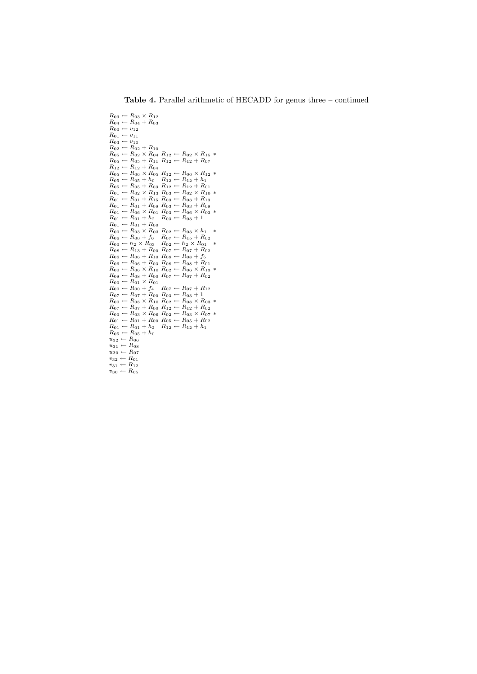| $R_{03} \leftarrow R_{03} \times \overline{R_{12}}$                             |                                                                                   |
|---------------------------------------------------------------------------------|-----------------------------------------------------------------------------------|
| $R_{04} \leftarrow R_{04} + R_{03}$                                             |                                                                                   |
| $R_{00} \leftarrow v_{12}$                                                      |                                                                                   |
| $R_{01} \leftarrow v_{11}$                                                      |                                                                                   |
| $R_{03} \leftarrow v_{10}$                                                      |                                                                                   |
| $R_{02} \leftarrow R_{02} + R_{10}$                                             |                                                                                   |
|                                                                                 | $R_{05} \leftarrow R_{02} \times R_{04} R_{12} \leftarrow R_{02} \times R_{15} *$ |
| $R_{05} \leftarrow R_{05} + R_{11}$                                             | $R_{12} \leftarrow R_{12} + R_{07}$                                               |
| $R_{12} \leftarrow R_{12} + R_{04}$                                             |                                                                                   |
| $R_{05} \leftarrow R_{06} \times R_{05}$                                        | $R_{12} \leftarrow R_{06} \times R_{12}$<br>∗                                     |
| $R_{05} \leftarrow R_{05} + h_0$                                                | $R_{12} \leftarrow R_{12} + h_1$                                                  |
| $R_{05} \leftarrow R_{05} + R_{03}$                                             | $R_{12} \leftarrow R_{12} + R_{01}$                                               |
| $R_{01} \leftarrow R_{02} \times R_{13} R_{03} \leftarrow R_{02} \times R_{10}$ | ∗                                                                                 |
| $R_{01} \leftarrow R_{01} + R_{15} R_{03} \leftarrow R_{03} + R_{13}$           |                                                                                   |
| $R_{01} \leftarrow R_{01} + R_{08} R_{03} \leftarrow R_{03} + R_{09}$           |                                                                                   |
| $R_{01} \leftarrow R_{06} \times R_{01}$                                        | $R_{03} \leftarrow R_{06} \times R_{03}$<br>∗                                     |
| $R_{01} \leftarrow R_{01} + h_2$                                                | $R_{03} \leftarrow R_{03} + 1$                                                    |
| $R_{01} \leftarrow R_{01} + R_{00}$                                             |                                                                                   |
| $R_{00} \leftarrow R_{03} \times R_{03}$                                        | $R_{02} \leftarrow R_{03} \times h_1$<br>∗                                        |
| $R_{06} \leftarrow R_{00} + f_6$                                                | $R_{07} \leftarrow R_{15} + R_{02}$                                               |
| $R_{00} \leftarrow h_2 \times R_{03}$                                           | $R_{02} \leftarrow h_2 \times R_{01}$<br>$\ast$                                   |
| $R_{08} \leftarrow R_{13} + R_{00}$                                             | $R_{07} \leftarrow R_{07} + R_{02}$                                               |
| $R_{06} \leftarrow R_{06} + R_{10} R_{08} \leftarrow R_{08} + f_5$              |                                                                                   |
| $R_{06} \leftarrow R_{06} + R_{03}$                                             | $R_{08} \leftarrow R_{08} + R_{01}$                                               |
| $R_{00} \leftarrow R_{06} \times R_{10}$                                        | $R_{02} \leftarrow R_{06} \times R_{13}$<br>∗                                     |
| $R_{08} \leftarrow R_{08} + R_{00}$                                             | $R_{07} \leftarrow R_{07} + R_{02}$                                               |
| $R_{00} \leftarrow R_{01} \times R_{01}$                                        |                                                                                   |
| $R_{00} \leftarrow R_{00} + f_4$                                                | $R_{07} \leftarrow R_{07} + R_{12}$                                               |
| $R_{07} \leftarrow R_{07} + R_{00}$                                             | $R_{03} \leftarrow R_{03} + 1$<br>$R_{02} \leftarrow R_{08} \times R_{03} *$      |
| $R_{00} \leftarrow R_{08} \times R_{10}$<br>$R_{07} \leftarrow R_{07} + R_{00}$ | $R_{12} \leftarrow R_{12} + R_{02}$                                               |
| $R_{00} \leftarrow R_{03} \times R_{06}$                                        | $R_{02} \leftarrow R_{03} \times R_{07}$<br>$\ast$                                |
|                                                                                 |                                                                                   |
| $R_{01} \leftarrow R_{01} + R_{00}$                                             | $R_{05} \leftarrow R_{05} + R_{02}$<br>$R_{12} \leftarrow R_{12} + h_1$           |
| $R_{01} \leftarrow R_{01} + h_2$<br>$R_{05} \leftarrow R_{05} + h_0$            |                                                                                   |
| $u_{32} \leftarrow R_{06}$                                                      |                                                                                   |
| $u_{31} \leftarrow R_{08}$                                                      |                                                                                   |
| $u_{30} \leftarrow R_{07}$                                                      |                                                                                   |
| $v_{32} \leftarrow R_{01}$                                                      |                                                                                   |
| $v_{31} \leftarrow R_{12}$                                                      |                                                                                   |
| $v_{30} \leftarrow R_{05}$                                                      |                                                                                   |
|                                                                                 |                                                                                   |

Table 4. Parallel arithmetic of HECADD for genus three – continued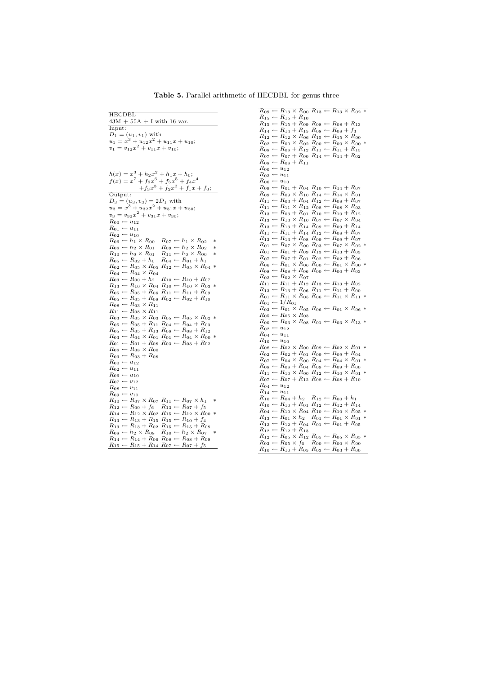| HECDBL                                                                                                                                                                      |
|-----------------------------------------------------------------------------------------------------------------------------------------------------------------------------|
| $43M + 55A + I$ with 16 var.                                                                                                                                                |
| Input:                                                                                                                                                                      |
| $D_1 = (u_1, v_1)$ with                                                                                                                                                     |
| $u_1 = x^3 + u_{12}x^2 + u_{11}x + u_{10};$                                                                                                                                 |
| $v_1 = v_{12}x^2 + v_{11}x + v_{10};$                                                                                                                                       |
|                                                                                                                                                                             |
|                                                                                                                                                                             |
|                                                                                                                                                                             |
| $h(x) = x3 + h2x2 + h1x + h0;$                                                                                                                                              |
| $f(x) = x^7 + f_6x^6 + f_5x^5 + f_4x^4$                                                                                                                                     |
| $+f_3x^3+f_2x^2+f_1x+f_0;$                                                                                                                                                  |
| Output:                                                                                                                                                                     |
| $D_3 = (u_3, v_3) = 2D_1$ with                                                                                                                                              |
| $u_3 = x^3 + u_{32}x^2 + u_{31}x + u_{30};$                                                                                                                                 |
| $v_3 = v_{32}x^2 + v_{31}x + v_{30};$                                                                                                                                       |
|                                                                                                                                                                             |
| $R_{00} \leftarrow u_{12}$                                                                                                                                                  |
| $R_{01} \leftarrow u_{11}$                                                                                                                                                  |
| $R_{02} \leftarrow u_{10}$<br>∗                                                                                                                                             |
| $R_{06} \leftarrow h_1 \times R_{00} \quad R_{07} \leftarrow h_1 \times R_{02}$<br>$R_{08} \leftarrow h_2 \times R_{01}$<br>$R_{09} \leftarrow h_2 \times R_{02}$<br>$\ast$ |
| $R_{11} \leftarrow h_0 \times R_{00}$<br>$R_{10} \leftarrow h_0 \times R_{01}$<br>$\ast$                                                                                    |
|                                                                                                                                                                             |
| $R_{04} \leftarrow R_{01} + h_1$<br>$R_{05} \leftarrow R_{02} + h_0$<br>$R_{02} \leftarrow R_{05} \times R_{05} R_{12} \leftarrow R_{05} \times R_{04}$<br>∗                |
| $R_{04} \leftarrow R_{04} \times R_{04}$                                                                                                                                    |
| $R_{03} \leftarrow R_{00} + h_2$                                                                                                                                            |
| $R_{03} \leftarrow R_{00} + h_2 \quad R_{10} \leftarrow R_{10} + R_{07}$<br>$R_{13} \leftarrow R_{10} \times R_{04} \quad R_{10} \leftarrow R_{10} \times R_{03}$<br>$\ast$ |
| $R_{05} \leftarrow R_{05} + R_{06} R_{11} \leftarrow R_{11} + R_{09}$                                                                                                       |
| $R_{02} \leftarrow R_{02} + R_{10}$<br>$R_{05} \leftarrow R_{05} + R_{08}$                                                                                                  |
| $R_{08} \leftarrow R_{03} \times R_{11}$                                                                                                                                    |
| $R_{11} \leftarrow R_{08} \times R_{11}$                                                                                                                                    |
| $R_{03} \leftarrow R_{05} \times R_{03} R_{05} \leftarrow R_{05} \times R_{02}$<br>∗                                                                                        |
| $R_{05} \leftarrow R_{05} + R_{11} R_{04} \leftarrow R_{04} + R_{03}$<br>$R_{05} \leftarrow R_{05} + R_{13} R_{08} \leftarrow R_{08} + R_{12}$                              |
|                                                                                                                                                                             |
| $R_{03} \leftarrow R_{04} \times R_{01} R_{01} \leftarrow R_{04} \times R_{00} * R_{01} \leftarrow R_{01} + R_{08} R_{03} \leftarrow R_{03} + R_{02}$                       |
|                                                                                                                                                                             |
| $R_{08} \leftarrow R_{08} \times R_{00}$                                                                                                                                    |
| $R_{03} \leftarrow R_{03} + R_{08}$                                                                                                                                         |
| $R_{00} \leftarrow u_{12}$                                                                                                                                                  |
| $R_{02} \leftarrow u_{11}$                                                                                                                                                  |
| $R_{06} \leftarrow u_{10}$                                                                                                                                                  |
| $R_{07} \leftarrow v_{12}$                                                                                                                                                  |
| $R_{08} \leftarrow v_{11}$                                                                                                                                                  |
| $R_{09} \leftarrow v_{10}$                                                                                                                                                  |
| $R_{10} \leftarrow R_{07} \times R_{07} R_{11} \leftarrow R_{07} \times h_1$<br>$R_{12} \leftarrow R_{00} + f_6 \quad R_{13} \leftarrow R_{07} + f_5$<br>$\ast$             |
|                                                                                                                                                                             |
| $R_{14} \leftarrow R_{12} \times R_{02} R_{15} \leftarrow R_{12} \times R_{00}$<br>$\ast$                                                                                   |
| $R_{13} \leftarrow R_{13} + R_{15} R_{15} \leftarrow R_{10} + f_4$                                                                                                          |
| $R_{13} \leftarrow R_{13} + R_{02} R_{15} \leftarrow R_{15} + R_{08}$                                                                                                       |
| $R_{08} \leftarrow h_2 \times R_{08}$ $R_{10} \leftarrow h_2 \times R_{07}$<br>$\ast$                                                                                       |
| $R_{14} \leftarrow R_{14} + R_{06} R_{08} \leftarrow R_{08} + R_{09}$<br>$R_{15} \leftarrow R_{15} + R_{14} R_{07} \leftarrow R_{07} + f_5$                                 |
|                                                                                                                                                                             |

Table 5. Parallel arithmetic of HECDBL for genus three

 $R_{09} \leftarrow R_{13} \times R_{00} R_{13} \leftarrow R_{13} \times R_{02} *$  $R_{15} \leftarrow R_{15} + R_{10}$ <br>  $R_{15} \leftarrow R_{15} + R_{09} R_{08} \leftarrow R_{08} + R_{13}$  $R_{14} \leftarrow R_{14} + R_{15} R_{08} \leftarrow R_{08} + f_3$ <br>  $R_{12} \leftarrow R_{12} \times R_{06} R_{15} \leftarrow R_{15} \times R_{00}$  $R_{02} \leftarrow R_{00} \times R_{02} R_{00} \leftarrow R_{00} \times R_{00} * R_{08} \leftarrow R_{08} + R_{12} R_{11} \leftarrow R_{11} + R_{15}$ <br>  $R_{07} \leftarrow R_{07} + R_{00} R_{14} \leftarrow R_{14} + R_{02}$  $R_{08} \leftarrow R_{08} + R_{11}$ <br>  $R_{00} \leftarrow u_{12}$ <br>  $R_{02} \leftarrow u_{11}$  $R_{06} \leftarrow u_{10}$ <br>  $R_{09} \leftarrow R_{01} + R_{04} R_{10} \leftarrow R_{14} + R_{07}$ <br>  $R_{09} \leftarrow R_{09} \times R_{10} R_{14} \leftarrow R_{14} \times R_{01}$  $R_{11} \leftarrow R_{03} + R_{04} R_{12} \leftarrow R_{08} + R_{07}$  $R_{11} \leftarrow R_{11} \times R_{12} \ R_{08} \leftarrow R_{08} \times R_{03}$  $R_{13} \leftarrow R_{03} + R_{01} R_{10} \leftarrow R_{10} + R_{12} R_{13} \leftarrow R_{13} \leftarrow R_{14} + R_{14} R_{09} \leftarrow R_{09} + R_{14} R_{12} \leftarrow R_{08} + R_{14} R_{13} \leftarrow R_{13} + R_{08} R_{09} \leftarrow R_{09} + R_{07}$  $R_{01} \leftarrow R_{07} \times R_{00} R_{03} \leftarrow R_{07} \times R_{02}$  $R_{01} \leftarrow R_{01} + R_{09} R_{13} \leftarrow R_{13} + R_{03}$ <br>  $R_{07} \leftarrow R_{07} + R_{01} R_{02} \leftarrow R_{02} + R_{06}$  $R_{06} \leftarrow R_{01} \times R_{06} R_{00} \leftarrow R_{01} \times R_{00}$ <br>  $R_{08} \leftarrow R_{08} + R_{06} R_{00} \leftarrow R_{00} + R_{03}$ <br>  $R_{02} \leftarrow R_{02} \times R_{07}$  $R_{11} \leftarrow R_{11} + R_{12} R_{13} \leftarrow R_{13} + R_{02}$ <br>  $R_{13} \leftarrow R_{13} + R_{06} R_{11} \leftarrow R_{11} + R_{00}$ <br>  $R_{01} \leftarrow R_{11} \times R_{05} R_{06} \leftarrow R_{11} \times R_{11} *$  $R_{01} \leftarrow 1/R_{01}$ <br>  $R_{03} \leftarrow R_{01} \times R_{05} R_{06} \leftarrow R_{01} \times R_{06} *$ <br>  $R_{05} \leftarrow R_{05} \times R_{03}$  $R_{00} \leftarrow R_{03} \times R_{08} R_{01} \leftarrow R_{03} \times R_{13} *$  $R_{02} \leftarrow u_{12}$ <br> $R_{04} \leftarrow u_{11}$  $R_{10} \leftarrow u_{11}$ <br> $R_{10} \leftarrow u_{10}$  $R_{08} \leftarrow R_{02} \times R_{00} R_{09} \leftarrow R_{02} \times R_{01} *$  $R_{02} \leftarrow R_{02} + R_{01} R_{09} \leftarrow R_{09} + R_{04}$  $R_{07} \leftarrow R_{04} \times R_{00} R_{04} \leftarrow R_{04} \times R_{01} *$  $R_{08} \leftarrow R_{08} + R_{04} R_{09} \leftarrow R_{09} + R_{00}$  $R_{11} \leftarrow R_{10} \times R_{00} R_{12} \leftarrow R_{10} \times R_{01} * R_{07} \leftarrow R_{07} + R_{12} R_{08} \leftarrow R_{08} + R_{10}$  $R_{04} \leftarrow u_{12}$  $R_{14} \leftarrow u_{11}$  $R_{10} \leftarrow R_{04} + h_2 \quad R_{12} \leftarrow R_{00} + h_1$  $R_{10} \leftarrow R_{10} + R_{01} R_{12} \leftarrow R_{12} + R_{14}$ <br>  $R_{04} \leftarrow R_{10} \times R_{04} R_{10} \leftarrow R_{10} \times R_{05} *$ <br>  $R_{13} \leftarrow R_{01} \times h_{2} R_{01} \leftarrow R_{01} \times R_{01} *$  $R_{12} \leftarrow R_{12} + R_{04} R_{01} \leftarrow R_{01} + R_{05}$ <br>  $R_{12} \leftarrow R_{05} \times R_{12} R_{05} \leftarrow R_{05} \times R_{05}$ <br>  $R_{03} \leftarrow R_{05} \times f_6 \quad R_{00} \leftarrow R_{00} \times R_{00}$ <br>  $R_{10} \leftarrow R_{10} + R_{05} R_{03} \leftarrow R_{03} + R_{00}$